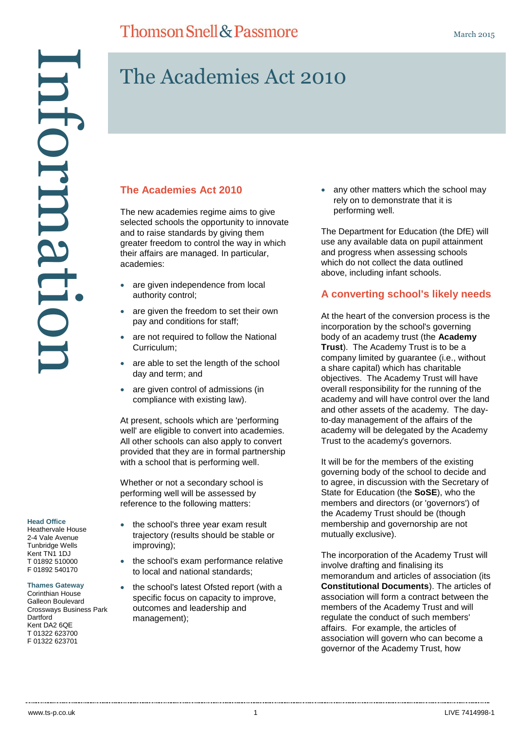# Information mformati

#### **Head Office**

Heathervale House 2-4 Vale Avenue Tunbridge Wells Kent TN1 1DJ T 01892 510000 F 01892 540170

#### **Thames Gateway**

Corinthian House Galleon Boulevard Crossways Business Park **Dartford** Kent DA2 6QE T 01322 623700 F 01322 623701

# The Academies Act 2010

**Thomson Snell & Passmore** 

## **The Academies Act 2010**

The new academies regime aims to give selected schools the opportunity to innovate and to raise standards by giving them greater freedom to control the way in which their affairs are managed. In particular, academies:

- are given independence from local authority control;
- are given the freedom to set their own pay and conditions for staff;
- are not required to follow the National Curriculum;
- are able to set the length of the school day and term; and
- are given control of admissions (in compliance with existing law).

At present, schools which are 'performing well' are eligible to convert into academies. All other schools can also apply to convert provided that they are in formal partnership with a school that is performing well.

Whether or not a secondary school is performing well will be assessed by reference to the following matters:

- the school's three year exam result trajectory (results should be stable or improving);
- the school's exam performance relative to local and national standards;
- the school's latest Ofsted report (with a specific focus on capacity to improve, outcomes and leadership and management);

• any other matters which the school may rely on to demonstrate that it is performing well.

The Department for Education (the DfE) will use any available data on pupil attainment and progress when assessing schools which do not collect the data outlined above, including infant schools.

# **A converting school's likely needs**

At the heart of the conversion process is the incorporation by the school's governing body of an academy trust (the **Academy Trust**). The Academy Trust is to be a company limited by guarantee (i.e., without a share capital) which has charitable objectives. The Academy Trust will have overall responsibility for the running of the academy and will have control over the land and other assets of the academy. The dayto-day management of the affairs of the academy will be delegated by the Academy Trust to the academy's governors.

It will be for the members of the existing governing body of the school to decide and to agree, in discussion with the Secretary of State for Education (the **SoSE**), who the members and directors (or 'governors') of the Academy Trust should be (though membership and governorship are not mutually exclusive).

The incorporation of the Academy Trust will involve drafting and finalising its memorandum and articles of association (its **Constitutional Documents**). The articles of association will form a contract between the members of the Academy Trust and will regulate the conduct of such members' affairs. For example, the articles of association will govern who can become a governor of the Academy Trust, how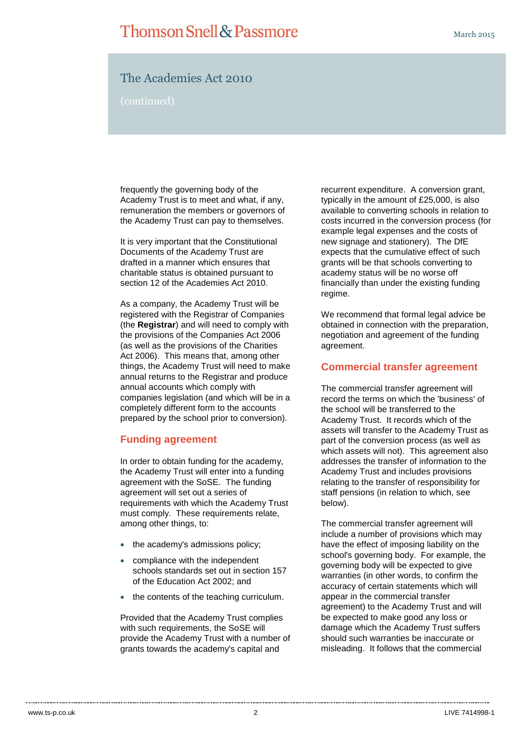# **Thomson Snell & Passmore**

# The Academies Act 2010

frequently the governing body of the Academy Trust is to meet and what, if any, remuneration the members or governors of the Academy Trust can pay to themselves.

It is very important that the Constitutional Documents of the Academy Trust are drafted in a manner which ensures that charitable status is obtained pursuant to section 12 of the Academies Act 2010.

As a company, the Academy Trust will be registered with the Registrar of Companies (the **Registrar**) and will need to comply with the provisions of the Companies Act 2006 (as well as the provisions of the Charities Act 2006). This means that, among other things, the Academy Trust will need to make annual returns to the Registrar and produce annual accounts which comply with companies legislation (and which will be in a completely different form to the accounts prepared by the school prior to conversion).

## **Funding agreement**

In order to obtain funding for the academy, the Academy Trust will enter into a funding agreement with the SoSE. The funding agreement will set out a series of requirements with which the Academy Trust must comply. These requirements relate, among other things, to:

- the academy's admissions policy;
- compliance with the independent schools standards set out in section 157 of the Education Act 2002; and
- the contents of the teaching curriculum.

Provided that the Academy Trust complies with such requirements, the SoSE will provide the Academy Trust with a number of grants towards the academy's capital and

recurrent expenditure. A conversion grant, typically in the amount of £25,000, is also available to converting schools in relation to costs incurred in the conversion process (for example legal expenses and the costs of new signage and stationery). The DfE expects that the cumulative effect of such grants will be that schools converting to academy status will be no worse off financially than under the existing funding regime.

We recommend that formal legal advice be obtained in connection with the preparation, negotiation and agreement of the funding agreement.

#### **Commercial transfer agreement**

The commercial transfer agreement will record the terms on which the 'business' of the school will be transferred to the Academy Trust. It records which of the assets will transfer to the Academy Trust as part of the conversion process (as well as which assets will not). This agreement also addresses the transfer of information to the Academy Trust and includes provisions relating to the transfer of responsibility for staff pensions (in relation to which, see below).

The commercial transfer agreement will include a number of provisions which may have the effect of imposing liability on the school's governing body. For example, the governing body will be expected to give warranties (in other words, to confirm the accuracy of certain statements which will appear in the commercial transfer agreement) to the Academy Trust and will be expected to make good any loss or damage which the Academy Trust suffers should such warranties be inaccurate or misleading. It follows that the commercial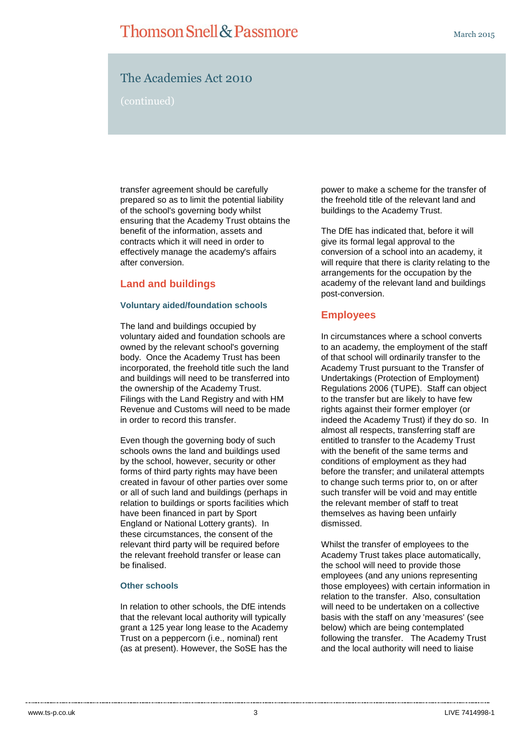# The Academies Act 2010

transfer agreement should be carefully prepared so as to limit the potential liability of the school's governing body whilst ensuring that the Academy Trust obtains the benefit of the information, assets and contracts which it will need in order to effectively manage the academy's affairs after conversion.

## **Land and buildings**

#### **Voluntary aided/foundation schools**

The land and buildings occupied by voluntary aided and foundation schools are owned by the relevant school's governing body. Once the Academy Trust has been incorporated, the freehold title such the land and buildings will need to be transferred into the ownership of the Academy Trust. Filings with the Land Registry and with HM Revenue and Customs will need to be made in order to record this transfer.

Even though the governing body of such schools owns the land and buildings used by the school, however, security or other forms of third party rights may have been created in favour of other parties over some or all of such land and buildings (perhaps in relation to buildings or sports facilities which have been financed in part by Sport England or National Lottery grants). In these circumstances, the consent of the relevant third party will be required before the relevant freehold transfer or lease can be finalised.

#### **Other schools**

In relation to other schools, the DfE intends that the relevant local authority will typically grant a 125 year long lease to the Academy Trust on a peppercorn (i.e., nominal) rent (as at present). However, the SoSE has the

power to make a scheme for the transfer of the freehold title of the relevant land and buildings to the Academy Trust.

The DfE has indicated that, before it will give its formal legal approval to the conversion of a school into an academy, it will require that there is clarity relating to the arrangements for the occupation by the academy of the relevant land and buildings post-conversion.

#### **Employees**

In circumstances where a school converts to an academy, the employment of the staff of that school will ordinarily transfer to the Academy Trust pursuant to the Transfer of Undertakings (Protection of Employment) Regulations 2006 (TUPE). Staff can object to the transfer but are likely to have few rights against their former employer (or indeed the Academy Trust) if they do so. In almost all respects, transferring staff are entitled to transfer to the Academy Trust with the benefit of the same terms and conditions of employment as they had before the transfer; and unilateral attempts to change such terms prior to, on or after such transfer will be void and may entitle the relevant member of staff to treat themselves as having been unfairly dismissed.

Whilst the transfer of employees to the Academy Trust takes place automatically, the school will need to provide those employees (and any unions representing those employees) with certain information in relation to the transfer. Also, consultation will need to be undertaken on a collective basis with the staff on any 'measures' (see below) which are being contemplated following the transfer. The Academy Trust and the local authority will need to liaise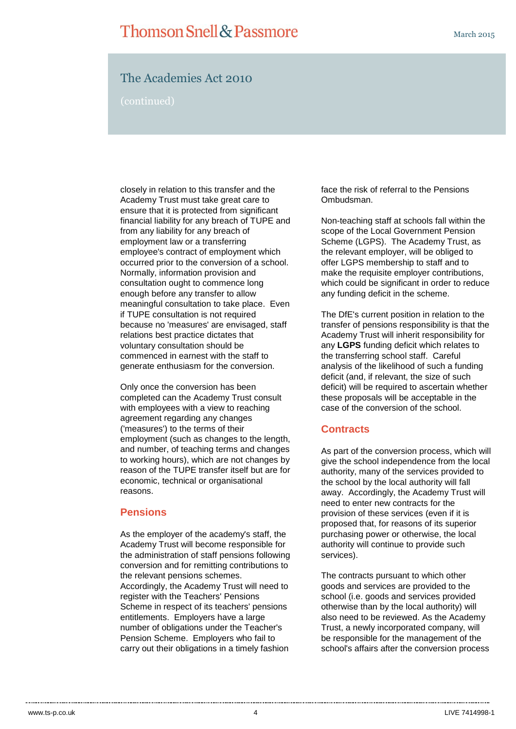# **Thomson Snell & Passmore**

# The Academies Act 2010

closely in relation to this transfer and the Academy Trust must take great care to ensure that it is protected from significant financial liability for any breach of TUPE and from any liability for any breach of employment law or a transferring employee's contract of employment which occurred prior to the conversion of a school. Normally, information provision and consultation ought to commence long enough before any transfer to allow meaningful consultation to take place. Even if TUPE consultation is not required because no 'measures' are envisaged, staff relations best practice dictates that voluntary consultation should be commenced in earnest with the staff to generate enthusiasm for the conversion.

Only once the conversion has been completed can the Academy Trust consult with employees with a view to reaching agreement regarding any changes ('measures') to the terms of their employment (such as changes to the length, and number, of teaching terms and changes to working hours), which are not changes by reason of the TUPE transfer itself but are for economic, technical or organisational reasons.

#### **Pensions**

As the employer of the academy's staff, the Academy Trust will become responsible for the administration of staff pensions following conversion and for remitting contributions to the relevant pensions schemes. Accordingly, the Academy Trust will need to register with the Teachers' Pensions Scheme in respect of its teachers' pensions entitlements. Employers have a large number of obligations under the Teacher's Pension Scheme. Employers who fail to carry out their obligations in a timely fashion

face the risk of referral to the Pensions Ombudsman.

Non-teaching staff at schools fall within the scope of the Local Government Pension Scheme (LGPS). The Academy Trust, as the relevant employer, will be obliged to offer LGPS membership to staff and to make the requisite employer contributions, which could be significant in order to reduce any funding deficit in the scheme.

The DfE's current position in relation to the transfer of pensions responsibility is that the Academy Trust will inherit responsibility for any **LGPS** funding deficit which relates to the transferring school staff. Careful analysis of the likelihood of such a funding deficit (and, if relevant, the size of such deficit) will be required to ascertain whether these proposals will be acceptable in the case of the conversion of the school.

## **Contracts**

As part of the conversion process, which will give the school independence from the local authority, many of the services provided to the school by the local authority will fall away. Accordingly, the Academy Trust will need to enter new contracts for the provision of these services (even if it is proposed that, for reasons of its superior purchasing power or otherwise, the local authority will continue to provide such services).

The contracts pursuant to which other goods and services are provided to the school (i.e. goods and services provided otherwise than by the local authority) will also need to be reviewed. As the Academy Trust, a newly incorporated company, will be responsible for the management of the school's affairs after the conversion process